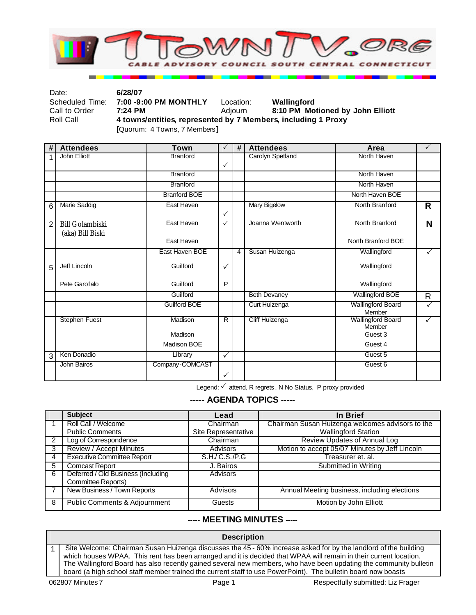

| Date:           | 6/28/07                                                       |           |                                  |  |
|-----------------|---------------------------------------------------------------|-----------|----------------------------------|--|
| Scheduled Time: | 7:00 -9:00 PM MONTHLY                                         | Location: | Wallingford                      |  |
| Call to Order   | 7:24 PM                                                       | Adiourn   | 8:10 PM Motioned by John Elliott |  |
| Roll Call       | 4 towns/entities, represented by 7 Members, including 1 Proxy |           |                                  |  |
|                 | [Quorum: 4 Towns, 7 Members]                                  |           |                                  |  |

**# Attendees Town** P **# Attendees Area** P 1 John Elliott  $\checkmark$ Carolyn Spetland Branford North Haven Branford North Haven Branford BOE North Haven BOE 6 Marie Saddig **East Haven**  $\cdot$ Mary Bigelow **North Brandord R** 2 Bill Golambiski (aka) Bill Biski East Haven  $\vert \checkmark \vert$  Joanna Wentworth  $\vert$  North Branford **N East Haven** North Branford BOE East Haven BOE 4 Susan Huizenga Wallingford V 5 Jeff Lincoln Guilford P Wallingford Pete Garofalo **Guilford** P | Guilford P | Wallingford

Guilford **Beth Devaney Wallingford BOE R**<br>
Guilford BOE Curt Huizenga Wallingford Board V Curt Huizenga Wallingford Board Member  $\checkmark$ Stephen Fuest Madison R Cliff Huizenga Wallingford Board Member<br>Guest 3  $\checkmark$ Madison Madison BOE Guest 4 3 Ken Donadio Anti-Proposition (Network 1980) And Constant Constant Constant Constant Constant Constant Constant Constant Constant Constant Constant Constant Constant Constant Constant Constant Constant Constant Constant C John Bairos Company-COMCAST  $\checkmark$ Guest 6

Legend:  $\checkmark$  attend, R regrets , N No Status, P proxy provided

### **----- AGENDA TOPICS -----**

|   | <b>Subject</b>                           | Lead                | In Brief                                         |
|---|------------------------------------------|---------------------|--------------------------------------------------|
|   | Roll Call / Welcome                      | Chairman            | Chairman Susan Huizenga welcomes advisors to the |
|   | <b>Public Comments</b>                   | Site Representative | <b>Wallingford Station</b>                       |
|   | Log of Correspondence                    | Chairman            | Review Updates of Annual Log                     |
| 3 | Review / Accept Minutes                  | <b>Advisors</b>     | Motion to accept 05/07 Minutes by Jeff Lincoln   |
| 4 | <b>Executive Committee Report</b>        | S.H/C.S./P.G        | Treasurer et. al.                                |
| 5 | <b>Comcast Report</b>                    | J. Bairos           | Submitted in Writing                             |
| 6 | Deferred / Old Business (Including       | <b>Advisors</b>     |                                                  |
|   | Committee Reports)                       |                     |                                                  |
|   | New Business / Town Reports              | Advisors            | Annual Meeting business, including elections     |
| 8 | <b>Public Comments &amp; Adjournment</b> | Guests              | Motion by John Elliott                           |

## **----- MEETING MINUTES -----**

#### **Description**

1 | Site Welcome: Chairman Susan Huizenga discusses the 45 - 60% increase asked for by the landlord of the building which houses WPAA. This rent has been arranged and it is decided that WPAA will remain in their current location. The Wallingford Board has also recently gained several new members, who have been updating the community bulletin board (a high school staff member trained the current staff to use PowerPoint). The bulletin board now boasts